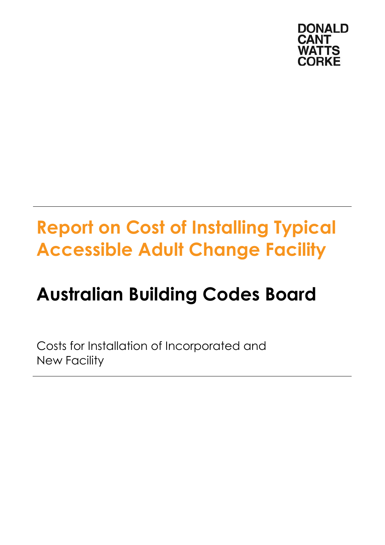

# **Report on Cost of Installing Typical Accessible Adult Change Facility**

# **Australian Building Codes Board**

Costs for Installation of Incorporated and New Facility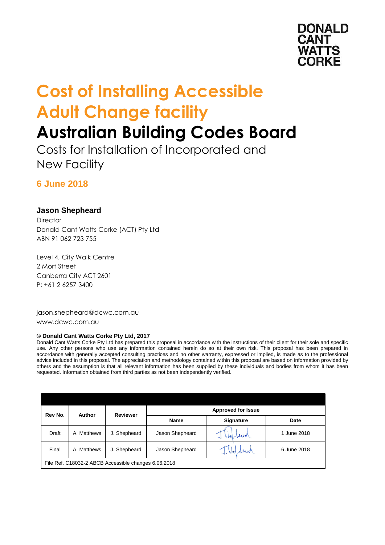

# **Cost of Installing Accessible Adult Change facility**

### **Australian Building Codes Board**

Costs for Installation of Incorporated and New Facility

#### **6 June 2018**

#### **Jason Shepheard**

**Director** Donald Cant Watts Corke (ACT) Pty Ltd ABN 91 062 723 755

Level 4, City Walk Centre 2 Mort Street Canberra City ACT 2601 P: +61 2 6257 3400

jason.shepheard@dcwc.com.au <www.dcwc.com.au>

#### **© Donald Cant Watts Corke Pty Ltd, 2017**

Donald Cant Watts Corke Pty Ltd has prepared this proposal in accordance with the instructions of their client for their sole and specific use. Any other persons who use any information contained herein do so at their own risk. This proposal has been prepared in accordance with generally accepted consulting practices and no other warranty, expressed or implied, is made as to the professional advice included in this proposal. The appreciation and methodology contained within this proposal are based on information provided by others and the assumption is that all relevant information has been supplied by these individuals and bodies from whom it has been requested. Information obtained from third parties as not been independently verified.

| Rev No.                                              | Author      | <b>Reviewer</b> | <b>Approved for Issue</b> |                  |             |  |  |
|------------------------------------------------------|-------------|-----------------|---------------------------|------------------|-------------|--|--|
|                                                      |             |                 | <b>Name</b>               | <b>Signature</b> | Date        |  |  |
| Draft                                                | A. Matthews | J. Shepheard    | Jason Shepheard           | Slard<br>$-1.1$  | 1 June 2018 |  |  |
| Final                                                | A. Matthews | J. Shepheard    | Jason Shepheard           | 1. Hel beard     | 6 June 2018 |  |  |
| File Ref. C18032-2 ABCB Accessible changes 6.06.2018 |             |                 |                           |                  |             |  |  |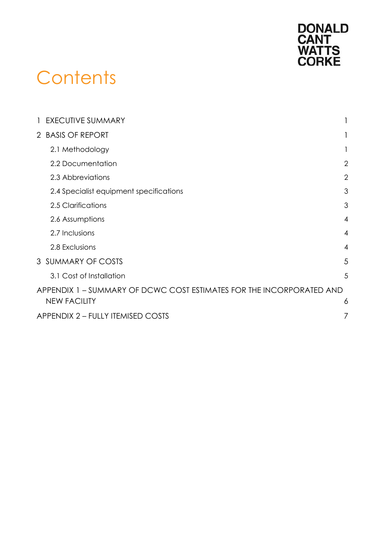

## **Contents**

| 1 EXECUTIVE SUMMARY                                                  |                |
|----------------------------------------------------------------------|----------------|
| 2 BASIS OF REPORT                                                    |                |
| 2.1 Methodology                                                      |                |
| 2.2 Documentation                                                    | 2              |
| 2.3 Abbreviations                                                    | $\overline{2}$ |
| 2.4 Specialist equipment specifications                              | 3              |
| 2.5 Clarifications                                                   | 3              |
| 2.6 Assumptions                                                      | $\overline{4}$ |
| 2.7 Inclusions                                                       | $\overline{4}$ |
| 2.8 Exclusions                                                       | $\overline{4}$ |
| 3 SUMMARY OF COSTS                                                   | 5              |
| 3.1 Cost of Installation                                             | 5              |
| APPENDIX 1 – SUMMARY OF DCWC COST ESTIMATES FOR THE INCORPORATED AND |                |
| <b>NEW FACILITY</b>                                                  | 6              |
| <b>APPENDIX 2 - FULLY ITEMISED COSTS</b>                             |                |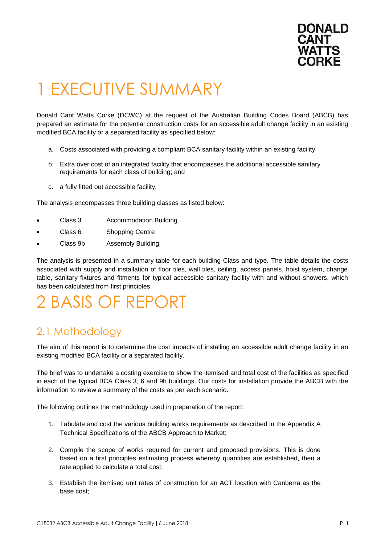

## <span id="page-3-0"></span>1 EXECUTIVE SUMMARY

Donald Cant Watts Corke (DCWC) at the request of the Australian Building Codes Board (ABCB) has prepared an estimate for the potential construction costs for an accessible adult change facility in an existing modified BCA facility or a separated facility as specified below:

- a. Costs associated with providing a compliant BCA sanitary facility within an existing facility
- b. Extra over cost of an integrated facility that encompasses the additional accessible sanitary requirements for each class of building; and
- c. a fully fitted out accessible facility.

The analysis encompasses three building classes as listed below:

- Class 3 Accommodation Building
- Class 6 Shopping Centre
- Class 9b Assembly Building

The analysis is presented in a summary table for each building Class and type. The table details the costs associated with supply and installation of floor tiles, wall tiles, ceiling, access panels, hoist system, change table, sanitary fixtures and fitments for typical accessible sanitary facility with and without showers, which has been calculated from first principles.

### <span id="page-3-1"></span>2 BASIS OF REPORT

#### <span id="page-3-2"></span>2.1 Methodology

 The aim of this report is to determine the cost impacts of installing an accessible adult change facility in an existing modified BCA facility or a separated facility.

 The brief was to undertake a costing exercise to show the itemised and total cost of the facilities as specified in each of the typical BCA Class 3, 6 and 9b buildings. Our costs for installation provide the ABCB with the information to review a summary of the costs as per each scenario.

The following outlines the methodology used in preparation of the report:

- 1. Tabulate and cost the various building works requirements as described in the Appendix A Technical Specifications of the ABCB Approach to Market;
- 2. Compile the scope of works required for current and proposed provisions. This is done based on a first principles estimating process whereby quantities are established, then a rate applied to calculate a total cost;
- 3. Establish the itemised unit rates of construction for an ACT location with Canberra as the base cost;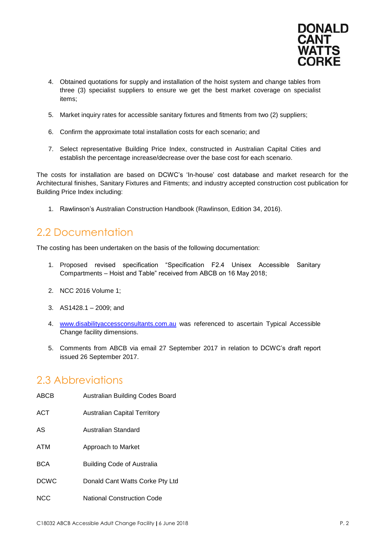

- 4. Obtained quotations for supply and installation of the hoist system and change tables from three (3) specialist suppliers to ensure we get the best market coverage on specialist items;
- 5. Market inquiry rates for accessible sanitary fixtures and fitments from two (2) suppliers;
- 6. Confirm the approximate total installation costs for each scenario; and
- 7. Select representative Building Price Index, constructed in Australian Capital Cities and establish the percentage increase/decrease over the base cost for each scenario.

The costs for installation are based on DCWC's 'In-house' cost database and market research for the Architectural finishes, Sanitary Fixtures and Fitments; and industry accepted construction cost publication for Building Price Index including:

1. Rawlinson's Australian Construction Handbook (Rawlinson, Edition 34, 2016).

#### <span id="page-4-0"></span>2.2 Documentation

The costing has been undertaken on the basis of the following documentation:

- 1. Proposed revised specification "Specification F2.4 Unisex Accessible Sanitary Compartments – Hoist and Table" received from ABCB on 16 May 2018;
- 2. NCC 2016 Volume 1;
- 3. AS1428.1 2009; and
- 4. [www.disabilityaccessconsultants.com.au](http://www.disabilityaccessconsultants.com.au/) was referenced to ascertain Typical Accessible Change facility dimensions.
- 5. Comments from ABCB via email 27 September 2017 in relation to DCWC's draft report issued 26 September 2017.

#### <span id="page-4-1"></span>2.3 Abbreviations

| ABCB        | Australian Building Codes Board   |
|-------------|-----------------------------------|
| <b>ACT</b>  | Australian Capital Territory      |
| AS          | Australian Standard               |
| ATM         | Approach to Market                |
| <b>BCA</b>  | <b>Building Code of Australia</b> |
| <b>DCWC</b> | Donald Cant Watts Corke Pty Ltd   |
| <b>NCC</b>  | <b>National Construction Code</b> |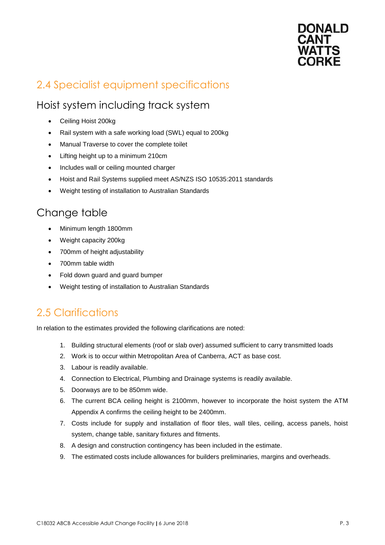

### <span id="page-5-0"></span>2.4 Specialist equipment specifications

#### Hoist system including track system

- Ceiling Hoist 200kg
- Rail system with a safe working load (SWL) equal to 200kg
- Manual Traverse to cover the complete toilet
- Lifting height up to a minimum 210cm
- Includes wall or ceiling mounted charger
- Hoist and Rail Systems supplied meet AS/NZS ISO 10535:2011 standards
- Weight testing of installation to Australian Standards

#### Change table

- Minimum length 1800mm
- Weight capacity 200kg
- 700mm of height adjustability
- 700mm table width
- Fold down guard and guard bumper
- Weight testing of installation to Australian Standards

#### <span id="page-5-1"></span>2.5 Clarifications

In relation to the estimates provided the following clarifications are noted:

- 1. Building structural elements (roof or slab over) assumed sufficient to carry transmitted loads
- 2. Work is to occur within Metropolitan Area of Canberra, ACT as base cost.
- 3. Labour is readily available.
- 4. Connection to Electrical, Plumbing and Drainage systems is readily available.
- 5. Doorways are to be 850mm wide.
- 6. The current BCA ceiling height is 2100mm, however to incorporate the hoist system the ATM Appendix A confirms the ceiling height to be 2400mm.
- 7. Costs include for supply and installation of floor tiles, wall tiles, ceiling, access panels, hoist system, change table, sanitary fixtures and fitments.
- 8. A design and construction contingency has been included in the estimate.
- 9. The estimated costs include allowances for builders preliminaries, margins and overheads.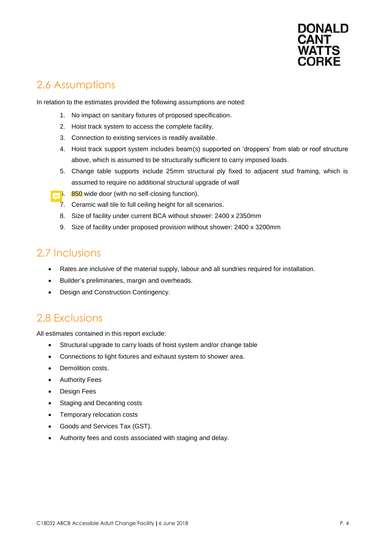

#### <span id="page-6-0"></span>2.6 Assumptions

In relation to the estimates provided the following assumptions are noted:

- 1. No impact on sanitary fixtures of proposed specification.
- 2. Hoist track system to access the complete facility.
- 3. Connection to existing services is readily available.
- 4. Hoist track support system includes beam(s) supported on 'droppers' from slab or roof structure above, which is assumed to be structurally sufficient to carry imposed loads.
- 5. Change table supports include 25mm structural ply fixed to adjacent stud framing, which is assumed to require no additional structural upgrade of wall
- $\frac{1}{2}$ . 850 wide door (with no self-closing function).
	- 7. Ceramic wall tile to full ceiling height for all scenarios.
	- 8. Size of facility under current BCA without shower: 2400 x 2350mm
	- 9. Size of facility under proposed provision without shower: 2400 x 3200mm

#### <span id="page-6-1"></span>2.7 Inclusions

- $\bullet$ Rates are inclusive of the material supply, labour and all sundries required for installation.
- $\bullet$ Builder's preliminaries, margin and overheads.
- Design and Construction Contingency.

#### <span id="page-6-2"></span>2.8 Exclusions

All estimates contained in this report exclude:

- Structural upgrade to carry loads of hoist system and/or change table
- Connections to light fixtures and exhaust system to shower area.
- Demolition costs.
- Authority Fees
- Design Fees
- Staging and Decanting costs
- Temporary relocation costs
- Goods and Services Tax (GST).
- Authority fees and costs associated with staging and delay.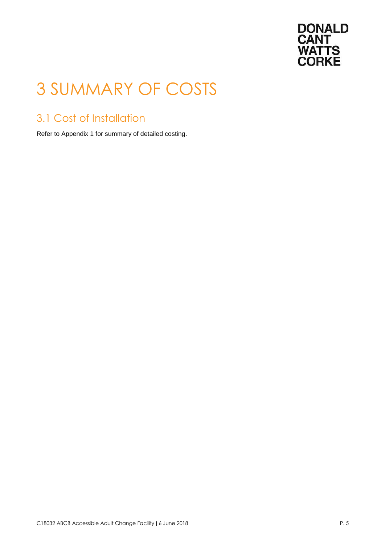

### <span id="page-7-0"></span>3 SUMMARY OF COSTS

### <span id="page-7-1"></span>3.1 Cost of Installation

Refer to Appendix 1 for summary of detailed costing.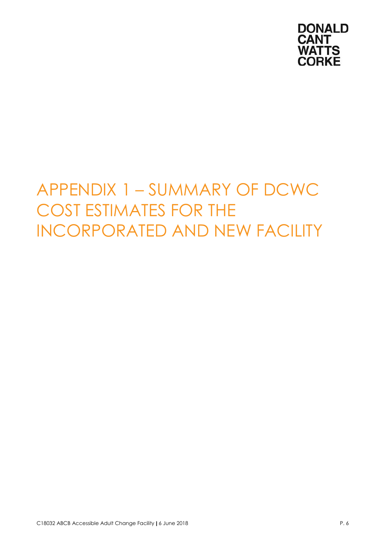

### <span id="page-8-0"></span> INCORPORATED AND NEW FACILITY APPENDIX 1 – SUMMARY OF DCWC COST ESTIMATES FOR THE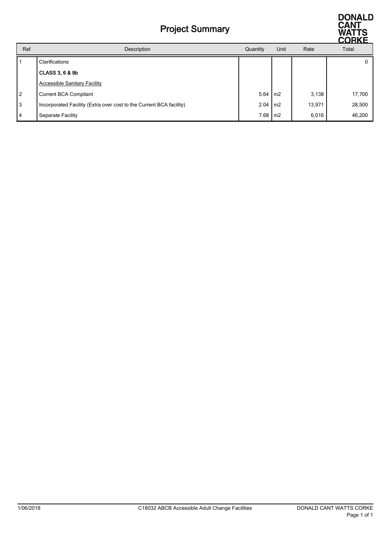#### Project Summary



|                |                                                                     |                   |      |        | <b>CURRE</b> |
|----------------|---------------------------------------------------------------------|-------------------|------|--------|--------------|
| Ref            | Description                                                         | Quantity          | Unit | Rate   | Total        |
|                | Clarifications                                                      |                   |      |        |              |
|                | <b>CLASS 3, 6 &amp; 9b</b>                                          |                   |      |        |              |
|                | <b>Accessible Sanitary Facility</b>                                 |                   |      |        |              |
| $\overline{2}$ | <b>Current BCA Compliant</b>                                        | $5.64 \text{ m}$  |      | 3,138  | 17,700       |
| 3              | Incorporated Facility (Extra over cost to the Current BCA facility) | $2.04 \text{ m2}$ |      | 13,971 | 28,500       |
| $\overline{4}$ | Separate Facility                                                   | $7.68$ m2         |      | 6,016  | 46,200       |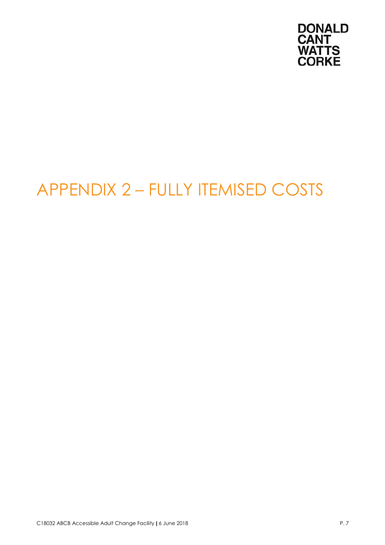

## <span id="page-10-0"></span>APPENDIX 2 – FULLY ITEMISED COSTS

C18032 ABCB Accessible Adult Change Facility | 6 June 2018 P. 7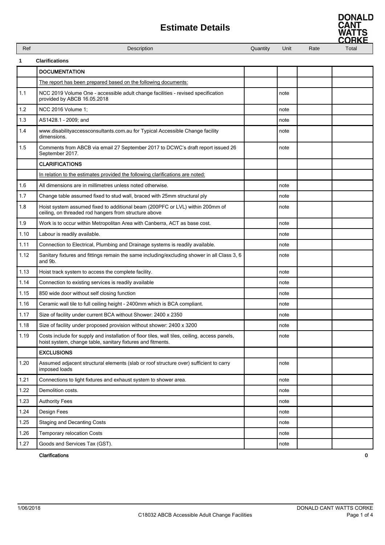| Ref  | Description                                                                                                                                                  | Quantity | Unit | Rate | Total |
|------|--------------------------------------------------------------------------------------------------------------------------------------------------------------|----------|------|------|-------|
| 1    | <b>Clarifications</b>                                                                                                                                        |          |      |      |       |
|      | <b>DOCUMENTATION</b>                                                                                                                                         |          |      |      |       |
|      | The report has been prepared based on the following documents:                                                                                               |          |      |      |       |
| 1.1  | NCC 2019 Volume One - accessible adult change facilities - revised specification<br>provided by ABCB 16.05.2018                                              |          | note |      |       |
| 1.2  | NCC 2016 Volume 1;                                                                                                                                           |          | note |      |       |
| 1.3  | AS1428.1 - 2009; and                                                                                                                                         |          | note |      |       |
| 1.4  | www.disabilityaccessconsultants.com.au for Typical Accessible Change facility<br>dimensions.                                                                 |          | note |      |       |
| 1.5  | Comments from ABCB via email 27 September 2017 to DCWC's draft report issued 26<br>September 2017.                                                           |          | note |      |       |
|      | <b>CLARIFICATIONS</b>                                                                                                                                        |          |      |      |       |
|      | In relation to the estimates provided the following clarifications are noted:                                                                                |          |      |      |       |
| 1.6  | All dimensions are in millimetres unless noted otherwise.                                                                                                    |          | note |      |       |
| 1.7  | Change table assumed fixed to stud wall, braced with 25mm structural ply                                                                                     |          | note |      |       |
| 1.8  | Hoist system assumed fixed to additional beam (200PFC or LVL) within 200mm of<br>ceiling, on threaded rod hangers from structure above                       |          | note |      |       |
| 1.9  | Work is to occur within Metropolitan Area with Canberra, ACT as base cost.                                                                                   |          | note |      |       |
| 1.10 | Labour is readily available.                                                                                                                                 |          | note |      |       |
| 1.11 | Connection to Electrical, Plumbing and Drainage systems is readily available.                                                                                |          | note |      |       |
| 1.12 | Sanitary fixtures and fittings remain the same including/excluding shower in all Class 3, 6<br>and 9b.                                                       |          | note |      |       |
| 1.13 | Hoist track system to access the complete facility.                                                                                                          |          | note |      |       |
| 1.14 | Connection to existing services is readily available                                                                                                         |          | note |      |       |
| 1.15 | 850 wide door without self closing function                                                                                                                  |          | note |      |       |
| 1.16 | Ceramic wall tile to full ceiling height - 2400mm which is BCA compliant.                                                                                    |          | note |      |       |
| 1.17 | Size of facility under current BCA without Shower: 2400 x 2350                                                                                               |          | note |      |       |
| 1.18 | Size of facility under proposed provision without shower: 2400 x 3200                                                                                        |          | note |      |       |
| 1.19 | Costs include for supply and installation of floor tiles, wall tiles, ceiling, access panels,<br>hoist system, change table, sanitary fixtures and fitments. |          | note |      |       |
|      | <b>EXCLUSIONS</b>                                                                                                                                            |          |      |      |       |
| 1.20 | Assumed adjacent structural elements (slab or roof structure over) sufficient to carry<br>imposed loads                                                      |          | note |      |       |
| 1.21 | Connections to light fixtures and exhaust system to shower area.                                                                                             |          | note |      |       |
| 1.22 | Demolition costs.                                                                                                                                            |          | note |      |       |
| 1.23 | <b>Authority Fees</b>                                                                                                                                        |          | note |      |       |
| 1.24 | Design Fees                                                                                                                                                  |          | note |      |       |
| 1.25 | <b>Staging and Decanting Costs</b>                                                                                                                           |          | note |      |       |
| 1.26 | Temporary relocation Costs                                                                                                                                   |          | note |      |       |
| 1.27 | Goods and Services Tax (GST).                                                                                                                                |          | note |      |       |

**Clarifications** 



0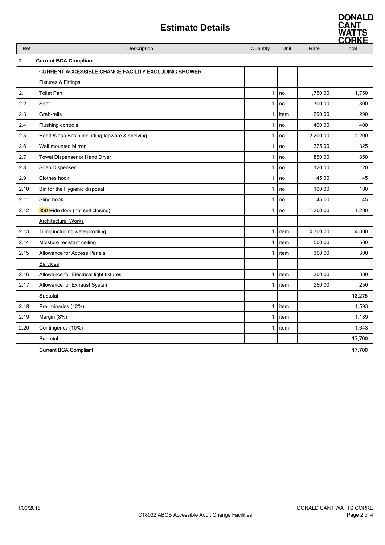

|              | <b>Estimate Details</b>                                    |              |      |          | <b>UANI</b><br>WATTS<br>ORKE |
|--------------|------------------------------------------------------------|--------------|------|----------|------------------------------|
| Ref          | Description                                                | Quantity     | Unit | Rate     | Total                        |
| $\mathbf{2}$ | <b>Current BCA Compliant</b>                               |              |      |          |                              |
|              | <b>CURRENT ACCESSIBLE CHANGE FACILITY EXCLUDING SHOWER</b> |              |      |          |                              |
|              | <b>Fixtures &amp; Fittings</b>                             |              |      |          |                              |
| 2.1          | <b>Toilet Pan</b>                                          | 1            | no   | 1,750.00 | 1,750                        |
| 2.2          | Seat                                                       | 1            | no   | 300.00   | 300                          |
| 2.3          | Grab-rails                                                 | $\mathbf{1}$ | item | 290.00   | 290                          |
| 2.4          | Flushing controls                                          | 1            | no   | 400.00   | 400                          |
| 2.5          | Hand Wash Basin including tapware & shelving               | 1            | no   | 2,200.00 | 2,200                        |
| 2.6          | <b>Wall mounted Mirror</b>                                 | 1            | no   | 325.00   | 325                          |
| 2.7          | Towel Dispenser or Hand Dryer                              | 1            | no   | 850.00   | 850                          |
| 2.8          | Soap Dispenser                                             | 1            | no   | 120.00   | 120                          |
| 2.9          | Clothes hook                                               | 1            | no   | 45.00    | 45                           |
| 2.10         | Bin for the Hygienic disposal                              | 1            | no   | 100.00   | 100                          |
| 2.11         | Sling hook                                                 | 1            | no   | 45.00    | 45                           |
| 2.12         | 850 wide door (not self closing)                           | 1            | no   | 1,200.00 | 1,200                        |
|              | <b>Architectural Works</b>                                 |              |      |          |                              |
| 2.13         | Tiling including waterproofing                             | 1            | item | 4,300.00 | 4,300                        |
| 2.14         | Moisture resistant ceiling                                 | 1            | item | 500.00   | 500                          |
| 2.15         | <b>Allowance for Access Panels</b>                         | 1            | item | 300.00   | 300                          |
|              | Services                                                   |              |      |          |                              |
| 2.16         | Allowance for Electrical light fixtures                    | $\mathbf{1}$ | item | 300.00   | 300                          |
| 2.17         | Allowance for Exhaust System                               | 1            | item | 250.00   | 250                          |
|              | Subtotal                                                   |              |      |          | 13,275                       |
| 2.18         | Preliminaries (12%)                                        | 1            | item |          | 1,593                        |
| 2.19         | Margin (8%)                                                | 1            | item |          | 1,189                        |
| 2.20         | Contingency (10%)                                          | $\mathbf{1}$ | item |          | 1,643                        |

Subtotal 17,700

Current BCA Compliant 17,700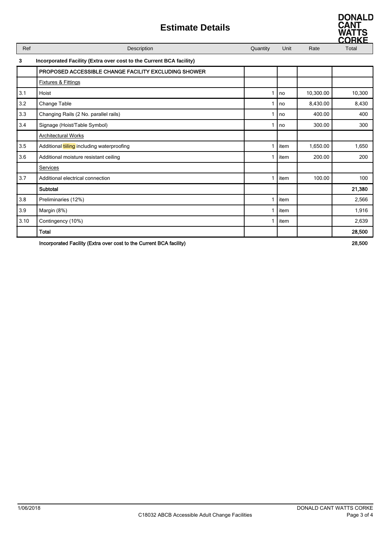| Ref          | Description                                                         | Quantity | Unit | Rate      | Total  |  |  |
|--------------|---------------------------------------------------------------------|----------|------|-----------|--------|--|--|
| $\mathbf{3}$ | Incorporated Facility (Extra over cost to the Current BCA facility) |          |      |           |        |  |  |
|              | PROPOSED ACCESSIBLE CHANGE FACILITY EXCLUDING SHOWER                |          |      |           |        |  |  |
|              | <b>Fixtures &amp; Fittings</b>                                      |          |      |           |        |  |  |
| 3.1          | Hoist                                                               | 1        | no   | 10,300.00 | 10,300 |  |  |
| 3.2          | Change Table                                                        | 1        | no   | 8,430.00  | 8,430  |  |  |
| 3.3          | Changing Rails (2 No. parallel rails)                               | 1        | no   | 400.00    | 400    |  |  |
| 3.4          | Signage (Hoist/Table Symbol)                                        | 1        | no   | 300.00    | 300    |  |  |
|              | <b>Architectural Works</b>                                          |          |      |           |        |  |  |
| 3.5          | Additional tiiling including waterproofing                          | 1        | item | 1,650.00  | 1,650  |  |  |
| 3.6          | Additional moisture resistant ceiling                               | 1        | item | 200.00    | 200    |  |  |
|              | Services                                                            |          |      |           |        |  |  |
| 3.7          | Additional electrical connection                                    | 1        | item | 100.00    | 100    |  |  |
|              | Subtotal                                                            |          |      |           | 21,380 |  |  |
| 3.8          | Preliminaries (12%)                                                 | 1        | item |           | 2,566  |  |  |
| 3.9          | Margin (8%)                                                         | 1        | item |           | 1,916  |  |  |
| 3.10         | Contingency (10%)                                                   | 1        | item |           | 2,639  |  |  |
|              | <b>Total</b>                                                        |          |      |           | 28,500 |  |  |

Incorporated Facility (Extra over cost to the Current BCA facility) 28,500